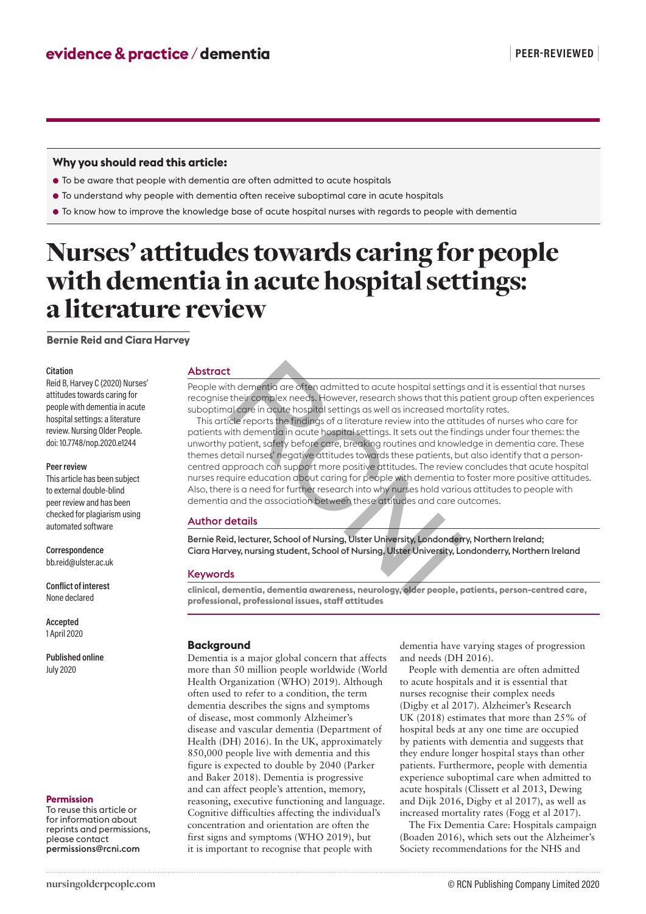### **Why you should read this article:**

- To be aware that people with dementia are often admitted to acute hospitals
- To understand why people with dementia often receive suboptimal care in acute hospitals
- To know how to improve the knowledge base of acute hospital nurses with regards to people with dementia

# Nurses' attitudes towards caring for people with dementia in acute hospital settings: a literature review

**Bernie Reid and Ciara Harvey**

### **Citation**

Reid B, Harvey C (2020) Nurses' attitudes towards caring for people with dementia in acute hospital settings: a literature review. Nursing Older People. doi: 10.7748/nop.2020.e1244

#### **Peer review**

This article has been subject to external double-blind peer review and has been checked for plagiarism using automated software

### **Correspondence** bb.reid@ulster.ac.uk

**Conflict of interest** None declared

**Accepted** 1 April 2020

### **Published online** July 2020

### **Permission**

To reuse this article or for information about reprints and permissions, please contact permissions@rcni.com

### Abstract

People with dementia are often admitted to acute hospital settings and it is essential that nurses recognise their complex needs. However, research shows that this patient group often experiences suboptimal care in acute hospital settings as well as increased mortality rates.

This article reports the findings of a literature review into the attitudes of nurses who care for patients with dementia in acute hospital settings. It sets out the findings under four themes: the unworthy patient, safety before care, breaking routines and knowledge in dementia care. These themes detail nurses' negative attitudes towards these patients, but also identify that a personcentred approach can support more positive attitudes. The review concludes that acute hospital nurses require education about caring for people with dementia to foster more positive attitudes. Also, there is a need for further research into why nurses hold various attitudes to people with dementia and the association between these attitudes and care outcomes. I the demention are often admitted to acute hospital setting<br>their complex needs. However, research shows that this paid care in acute hospital settings as well as increased more<br>cle reports the findings of a literature re

### Author details

Bernie Reid, lecturer, School of Nursing, Ulster University, Londonderry, Northern Ireland; Ciara Harvey, nursing student, School of Nursing, Ulster University, Londonderry, Northern Ireland

### Keywords

**clinical, dementia, dementia awareness, neurology, older people, patients, person-centred care, professional, professional issues, staff attitudes**

### **Background**

Dementia is a major global concern that affects more than 50 million people worldwide (World Health Organization (WHO) 2019). Although often used to refer to a condition, the term dementia describes the signs and symptoms of disease, most commonly Alzheimer's disease and vascular dementia (Department of Health (DH) 2016). In the UK, approximately 850,000 people live with dementia and this figure is expected to double by 2040 (Parker and Baker 2018). Dementia is progressive and can affect people's attention, memory, reasoning, executive functioning and language. Cognitive difficulties affecting the individual's concentration and orientation are often the first signs and symptoms (WHO 2019), but it is important to recognise that people with

dementia have varying stages of progression and needs (DH 2016).

People with dementia are often admitted to acute hospitals and it is essential that nurses recognise their complex needs (Digby et al 2017). Alzheimer's Research UK (2018) estimates that more than 25% of hospital beds at any one time are occupied by patients with dementia and suggests that they endure longer hospital stays than other patients. Furthermore, people with dementia experience suboptimal care when admitted to acute hospitals (Clissett et al 2013, Dewing and Dijk 2016, Digby et al 2017), as well as increased mortality rates (Fogg et al 2017).

The Fix Dementia Care: Hospitals campaign (Boaden 2016), which sets out the Alzheimer's Society recommendations for the NHS and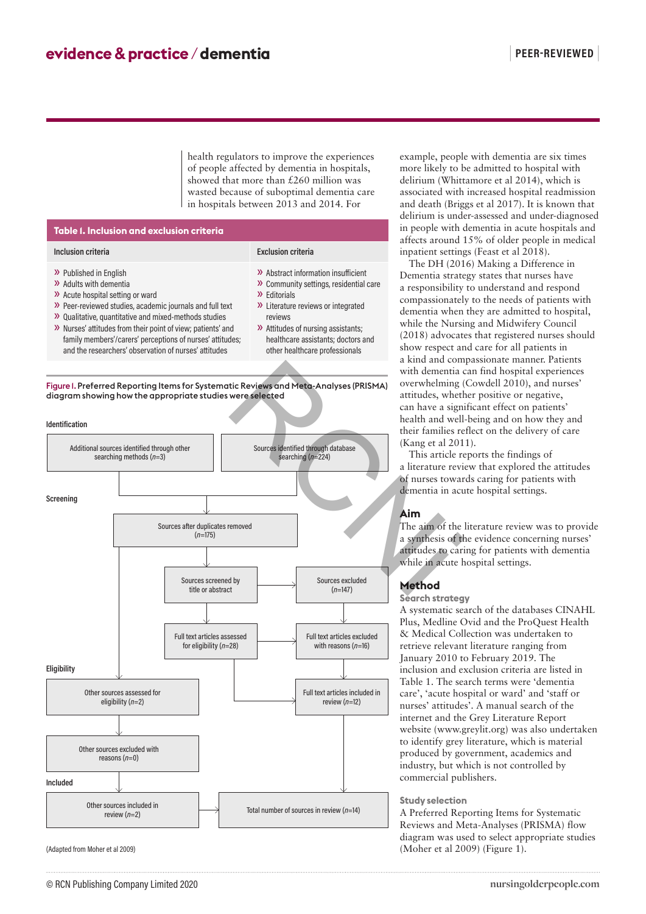health regulators to improve the experiences of people affected by dementia in hospitals, showed that more than £260 million was wasted because of suboptimal dementia care in hospitals between 2013 and 2014. For

» Editorials

reviews

» Abstract information insufficient » Community settings, residential care

» Literature reviews or integrated

» Attitudes of nursing assistants; healthcare assistants; doctors and other healthcare professionals

# **Table 1. Inclusion and exclusion criteria Inclusion criteria Exclusion criteria**

- » Published in English
- » Adults with dementia
- » Acute hospital setting or ward
- » Peer-reviewed studies, academic journals and full text
- » Qualitative, quantitative and mixed-methods studies
- » Nurses' attitudes from their point of view; patients' and family members'/carers' perceptions of nurses' attitudes; and the researchers' observation of nurses' attitudes
- Figure 1. Preferred Reporting Items for Systematic Reviews and Meta-Analyses (PRISMA) diagram showing how the appropriate studies were selected



(Adapted from Moher et al 2009)

### example, people with dementia are six times more likely to be admitted to hospital with delirium (Whittamore et al 2014), which is associated with increased hospital readmission and death (Briggs et al 2017). It is known that delirium is under-assessed and under-diagnosed in people with dementia in acute hospitals and affects around 15% of older people in medical inpatient settings (Feast et al 2018).

The DH (2016) Making a Difference in Dementia strategy states that nurses have a responsibility to understand and respond compassionately to the needs of patients with dementia when they are admitted to hospital, while the Nursing and Midwifery Council (2018) advocates that registered nurses should show respect and care for all patients in a kind and compassionate manner. Patients with dementia can find hospital experiences overwhelming (Cowdell 2010), and nurses' attitudes, whether positive or negative, can have a significant effect on patients' health and well-being and on how they and their families reflect on the delivery of care (Kang et al 2011).

This article reports the findings of a literature review that explored the attitudes of nurses towards caring for patients with dementia in acute hospital settings.

### **Aim**

The aim of the literature review was to provide a synthesis of the evidence concerning nurses' attitudes to caring for patients with dementia while in acute hospital settings.

## **Method**

### **Search strategy**

A systematic search of the databases CINAHL Plus, Medline Ovid and the ProQuest Health & Medical Collection was undertaken to retrieve relevant literature ranging from January 2010 to February 2019. The inclusion and exclusion criteria are listed in Table 1. The search terms were 'dementia care', 'acute hospital or ward' and 'staff or nurses' attitudes'. A manual search of the internet and the Grey Literature Report website (www.greylit.org) was also undertaken to identify grey literature, which is material produced by government, academics and industry, but which is not controlled by commercial publishers.

### **Study selection**

A Preferred Reporting Items for Systematic Reviews and Meta-Analyses (PRISMA) flow diagram was used to select appropriate studies (Moher et al 2009) (Figure 1).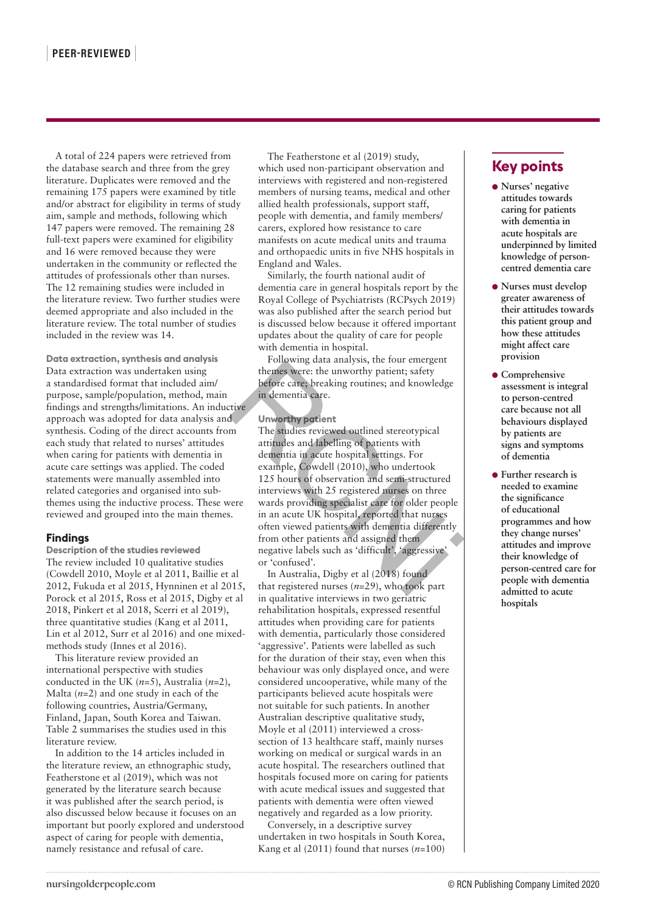A total of 224 papers were retrieved from the database search and three from the grey literature. Duplicates were removed and the remaining 175 papers were examined by title and/or abstract for eligibility in terms of study aim, sample and methods, following which 147 papers were removed. The remaining 28 full-text papers were examined for eligibility and 16 were removed because they were undertaken in the community or reflected the attitudes of professionals other than nurses. The 12 remaining studies were included in the literature review. Two further studies were deemed appropriate and also included in the literature review. The total number of studies included in the review was 14.

**Data extraction, synthesis and analysis** Data extraction was undertaken using a standardised format that included aim/ purpose, sample/population, method, main findings and strengths/limitations. An inductive approach was adopted for data analysis and synthesis. Coding of the direct accounts from each study that related to nurses' attitudes when caring for patients with dementia in acute care settings was applied. The coded statements were manually assembled into related categories and organised into subthemes using the inductive process. These were reviewed and grouped into the main themes.

### **Findings**

**Description of the studies reviewed** The review included 10 qualitative studies (Cowdell 2010, Moyle et al 2011, Baillie et al 2012, Fukuda et al 2015, Hynninen et al 2015, Porock et al 2015, Ross et al 2015, Digby et al 2018, Pinkert et al 2018, Scerri et al 2019), three quantitative studies (Kang et al 2011, Lin et al 2012, Surr et al 2016) and one mixedmethods study (Innes et al 2016).

This literature review provided an international perspective with studies conducted in the UK (*n*=5), Australia (*n*=2), Malta (*n*=2) and one study in each of the following countries, Austria/Germany, Finland, Japan, South Korea and Taiwan. Table 2 summarises the studies used in this literature review.

In addition to the 14 articles included in the literature review, an ethnographic study, Featherstone et al (2019), which was not generated by the literature search because it was published after the search period, is also discussed below because it focuses on an important but poorly explored and understood aspect of caring for people with dementia, namely resistance and refusal of care.

The Featherstone et al (2019) study, which used non-participant observation and interviews with registered and non-registered members of nursing teams, medical and other allied health professionals, support staff, people with dementia, and family members/ carers, explored how resistance to care manifests on acute medical units and trauma and orthopaedic units in five NHS hospitals in England and Wales.

Similarly, the fourth national audit of dementia care in general hospitals report by the Royal College of Psychiatrists (RCPsych 2019) was also published after the search period but is discussed below because it offered important updates about the quality of care for people with dementia in hospital.

Following data analysis, the four emergent themes were: the unworthy patient; safety before care; breaking routines; and knowledge in dementia care.

### **Unworthy patient**

The studies reviewed outlined stereotypical attitudes and labelling of patients with dementia in acute hospital settings. For example, Cowdell (2010), who undertook 125 hours of observation and semi-structured interviews with 25 registered nurses on three wards providing specialist care for older people in an acute UK hospital, reported that nurses often viewed patients with dementia differently from other patients and assigned them negative labels such as 'difficult', 'aggressive' or 'confused'. Forward and suite<br>
in using the mess were: the unworthy patient; safety<br>
and aim/
before care; breaking routines; and knowledge<br>
ethod, main<br>
in dementia care.<br>
In s. An inductive<br>
analysis and<br>
in dementia care.<br>
The stud

In Australia, Digby et al (2018) found that registered nurses (*n=*29), who took part in qualitative interviews in two geriatric rehabilitation hospitals, expressed resentful attitudes when providing care for patients with dementia, particularly those considered 'aggressive'. Patients were labelled as such for the duration of their stay, even when this behaviour was only displayed once, and were considered uncooperative, while many of the participants believed acute hospitals were not suitable for such patients. In another Australian descriptive qualitative study, Moyle et al (2011) interviewed a crosssection of 13 healthcare staff, mainly nurses working on medical or surgical wards in an acute hospital. The researchers outlined that hospitals focused more on caring for patients with acute medical issues and suggested that patients with dementia were often viewed negatively and regarded as a low priority.

Conversely, in a descriptive survey undertaken in two hospitals in South Korea, Kang et al (2011) found that nurses (*n=*100)

# **Key points**

- **Nurses' negative attitudes towards caring for patients with dementia in acute hospitals are underpinned by limited knowledge of personcentred dementia care**
- **Nurses must develop greater awareness of their attitudes towards this patient group and how these attitudes might affect care provision**
- **Comprehensive assessment is integral to person-centred care because not all behaviours displayed by patients are signs and symptoms of dementia**
- **Further research is needed to examine the significance of educational programmes and how they change nurses' attitudes and improve their knowledge of person-centred care for people with dementia admitted to acute hospitals**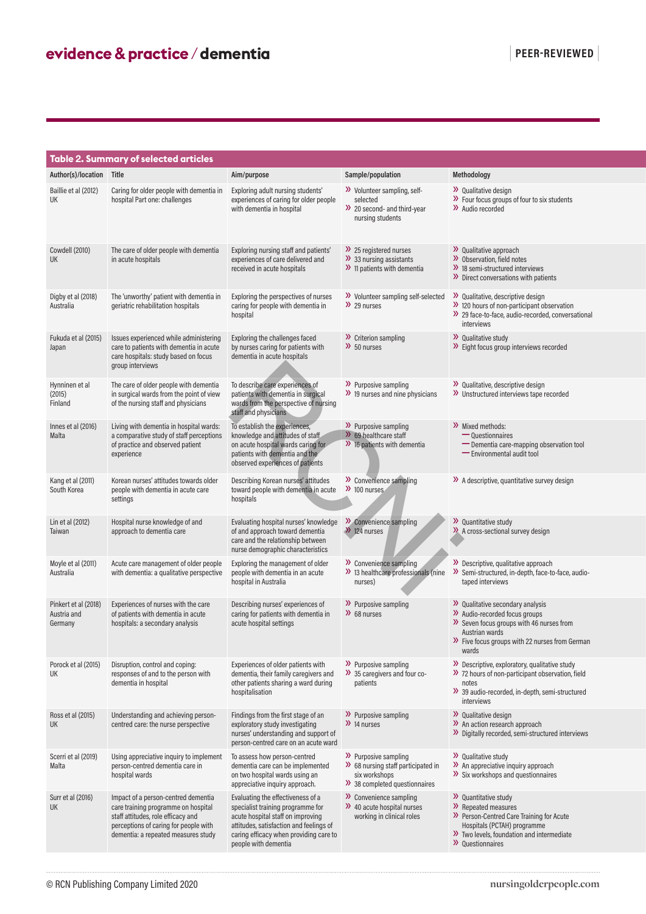|                                                | Table 2. Summary of selected articles                                                                                                                                                            |                                                                                                                                                                                                                          |                                                                                                                 |                                                                                                                                                                                                       |
|------------------------------------------------|--------------------------------------------------------------------------------------------------------------------------------------------------------------------------------------------------|--------------------------------------------------------------------------------------------------------------------------------------------------------------------------------------------------------------------------|-----------------------------------------------------------------------------------------------------------------|-------------------------------------------------------------------------------------------------------------------------------------------------------------------------------------------------------|
| Author(s)/location Title                       |                                                                                                                                                                                                  | Aim/purpose                                                                                                                                                                                                              | Sample/population                                                                                               | Methodology                                                                                                                                                                                           |
| Baillie et al (2012)<br>UK                     | Caring for older people with dementia in<br>hospital Part one: challenges                                                                                                                        | Exploring adult nursing students'<br>experiences of caring for older people<br>with dementia in hospital                                                                                                                 | >> Volunteer sampling, self-<br>selected<br>$\gg$ 20 second- and third-year<br>nursing students                 | $\lambda$ Qualitative design<br>$\mathcal{V}$ Four focus groups of four to six students<br>>> Audio recorded                                                                                          |
| Cowdell (2010)<br><b>UK</b>                    | The care of older people with dementia<br>in acute hospitals                                                                                                                                     | Exploring nursing staff and patients<br>experiences of care delivered and<br>received in acute hospitals                                                                                                                 | $\lambda$ 25 registered nurses<br>$\lambda$ 33 nursing assistants<br>$\lambda$ 11 patients with demential       | >> Qualitative approach<br>>> Observation, field notes<br>$\lambda$ 18 semi-structured interviews<br>>> Direct conversations with patients                                                            |
| Digby et al (2018)<br>Australia                | The 'unworthy' patient with dementia in<br>geriatric rehabilitation hospitals                                                                                                                    | Exploring the perspectives of nurses<br>caring for people with dementia in<br>hospital                                                                                                                                   | >> Volunteer sampling self-selected<br>$\lambda$ 29 nurses                                                      | >> Qualitative, descriptive design<br>>> 120 hours of non-participant observation<br>>> 29 face-to-face, audio-recorded, conversational<br>interviews                                                 |
| Fukuda et al (2015)<br>Japan                   | Issues experienced while administering<br>care to patients with dementia in acute<br>care hospitals: study based on focus<br>group interviews                                                    | Exploring the challenges faced<br>by nurses caring for patients with<br>dementia in acute hospitals                                                                                                                      | $\lambda$ Criterion sampling<br>$\lambda$ 50 nurses                                                             | >> Qualitative study<br>$\mathcal{V}$ Eight focus group interviews recorded                                                                                                                           |
| Hynninen et al<br>(2015)<br>Finland            | The care of older people with dementia<br>in surgical wards from the point of view<br>of the nursing staff and physicians                                                                        | To describe care experiences of<br>patients with dementia in surgical<br>wards from the perspective of nursing<br>staff and physicians                                                                                   | $\lambda$ Purposive sampling<br>$\lambda$ 19 nurses and nine physicians                                         | >> Qualitative, descriptive design<br>>> Unstructured interviews tape recorded                                                                                                                        |
| Innes et al (2016)<br>Malta                    | Living with dementia in hospital wards:<br>a comparative study of staff perceptions<br>of practice and observed patient<br>experience                                                            | To establish the experiences,<br>knowledge and attitudes of staff<br>on acute hospital wards caring for<br>patients with dementia and the<br>observed experiences of patients                                            | $\lambda$ Purposive sampling<br>$\lambda$ 69 healthcare staff<br>$\lambda$ 16 patients with dementia            | >> Mixed methods:<br>— Questionnaires<br>- Dementia care-mapping observation tool<br>- Environmental audit tool                                                                                       |
| Kang et al (2011)<br>South Korea               | Korean nurses' attitudes towards older<br>people with dementia in acute care<br>settings                                                                                                         | Describing Korean nurses' attitudes<br>toward people with dementia in acute<br>hospitals                                                                                                                                 | $\lambda$ Convenience sampling<br>$\lambda$ 100 nurses                                                          | >>> A descriptive, quantitative survey design                                                                                                                                                         |
| Lin et al (2012)<br>Taiwan                     | Hospital nurse knowledge of and<br>approach to dementia care                                                                                                                                     | Evaluating hospital nurses' knowledge<br>of and approach toward dementia<br>care and the relationship between<br>nurse demographic characteristics                                                                       | Convenience sampling<br>$\lambda$ 124 nurses                                                                    | >> Quantitative study<br>>> A cross-sectional survey design                                                                                                                                           |
| Moyle et al (2011)<br>Australia                | Acute care management of older people<br>with dementia: a qualitative perspective                                                                                                                | Exploring the management of older<br>people with dementia in an acute<br>hospital in Australia                                                                                                                           | >> Convenience sampling<br>>> 13 healthcare professionals (nine<br>nurses)                                      | >> Descriptive, qualitative approach<br>>> Semi-structured, in-depth, face-to-face, audio-<br>taped interviews                                                                                        |
| Pinkert et al (2018)<br>Austria and<br>Germany | Experiences of nurses with the care<br>of patients with dementia in acute<br>hospitals: a secondary analysis                                                                                     | Describing nurses' experiences of<br>caring for patients with dementia in<br>acute hospital settings                                                                                                                     | >> Purposive sampling<br>$\lambda$ 68 nurses                                                                    | $\lambda$ Qualitative secondary analysis<br>>> Audio-recorded focus groups<br>>> Seven focus groups with 46 nurses from<br>Austrian wards<br>>> Five focus groups with 22 nurses from German<br>wards |
| Porock et al (2015)<br>UK                      | Disruption, control and coping:<br>responses of and to the person with<br>dementia in hospital                                                                                                   | Experiences of older patients with<br>dementia, their family caregivers and<br>other patients sharing a ward during<br>hospitalisation                                                                                   | $\lambda$ Purposive sampling<br>>> 35 caregivers and four co-<br>patients                                       | >> Descriptive, exploratory, qualitative study<br>>> 72 hours of non-participant observation, field<br>notes<br>>> 39 audio-recorded, in-depth, semi-structured<br>interviews                         |
| Ross et al (2015)<br>UK                        | Understanding and achieving person-<br>centred care: the nurse perspective                                                                                                                       | Findings from the first stage of an<br>exploratory study investigating<br>nurses' understanding and support of<br>person-centred care on an acute ward                                                                   | $\lambda$ Purposive sampling<br>$\lambda$ 14 nurses                                                             | >> Qualitative design<br>>> An action research approach<br>>> Digitally recorded, semi-structured interviews                                                                                          |
| Scerri et al (2019)<br>Malta                   | Using appreciative inquiry to implement<br>person-centred dementia care in<br>hospital wards                                                                                                     | To assess how person-centred<br>dementia care can be implemented<br>on two hospital wards using an<br>appreciative inquiry approach.                                                                                     | >> Purposive sampling<br>>> 68 nursing staff participated in<br>six workshops<br>>> 38 completed questionnaires | >> Qualitative study<br>$\lambda$ An appreciative inquiry approach<br>>> Six workshops and questionnaires                                                                                             |
| Surr et al (2016)<br><b>UK</b>                 | Impact of a person-centred dementia<br>care training programme on hospital<br>staff attitudes, role efficacy and<br>perceptions of caring for people with<br>dementia: a repeated measures study | Evaluating the effectiveness of a<br>specialist training programme for<br>acute hospital staff on improving<br>attitudes, satisfaction and feelings of<br>caring efficacy when providing care to<br>people with dementia | >> Convenience sampling<br>$\lambda$ 40 acute hospital nurses<br>working in clinical roles                      | >> Quantitative study<br>>> Repeated measures<br>>> Person-Centred Care Training for Acute<br>Hospitals (PCTAH) programme<br>>> Two levels, foundation and intermediate<br>>> Questionnaires          |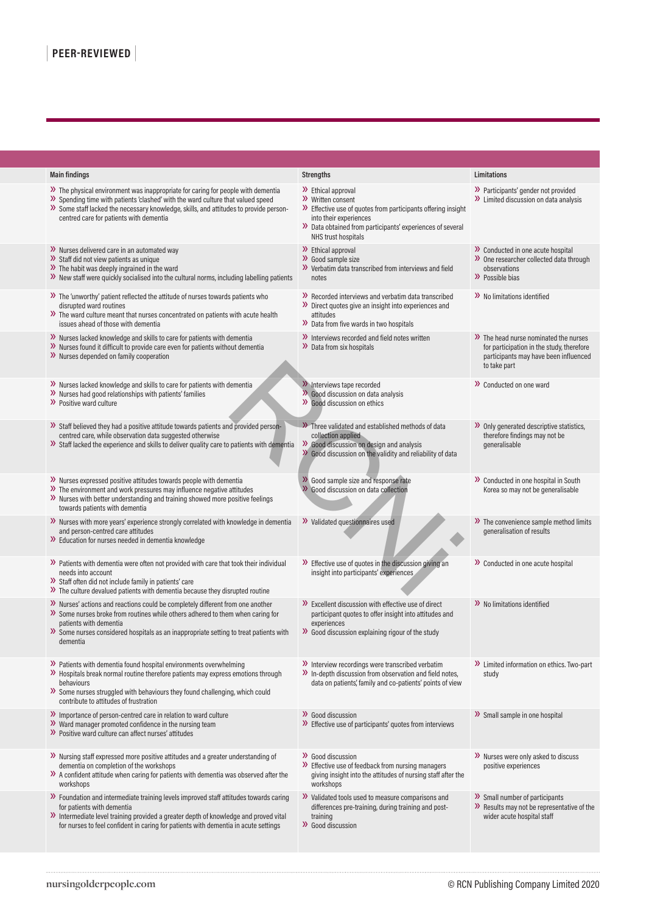| <b>Main findings</b>                                                                                                                                                                                                                                                                                                  | <b>Strengths</b>                                                                                                                                                                                                                 | Limitations                                                                                                                                  |
|-----------------------------------------------------------------------------------------------------------------------------------------------------------------------------------------------------------------------------------------------------------------------------------------------------------------------|----------------------------------------------------------------------------------------------------------------------------------------------------------------------------------------------------------------------------------|----------------------------------------------------------------------------------------------------------------------------------------------|
| $\mathcal{V}$ The physical environment was inappropriate for caring for people with dementia<br>>> Spending time with patients 'clashed' with the ward culture that valued speed<br>>> Some staff lacked the necessary knowledge, skills, and attitudes to provide person-<br>centred care for patients with dementia | $\lambda$ Ethical approval<br>>> Written consent<br>>> Effective use of quotes from participants offering insight<br>into their experiences<br>>> Data obtained from participants' experiences of several<br>NHS trust hospitals | >> Participants' gender not provided<br>$\lambda$ Limited discussion on data analysis                                                        |
| >> Nurses delivered care in an automated way<br>>> Staff did not view patients as unique<br>$\triangleright$ The habit was deeply ingrained in the ward<br>>> New staff were quickly socialised into the cultural norms, including labelling patients                                                                 | $\lambda$ Ethical approval<br>$\lambda$ Good sample size<br>>> Verbatim data transcribed from interviews and field<br>notes                                                                                                      | >> Conducted in one acute hospital<br>>> One researcher collected data through<br>observations<br>>> Possible bias                           |
| >> The 'unworthy' patient reflected the attitude of nurses towards patients who<br>disrupted ward routines<br>>> The ward culture meant that nurses concentrated on patients with acute health<br>issues ahead of those with dementia                                                                                 | >> Recorded interviews and verbatim data transcribed<br>>> Direct quotes give an insight into experiences and<br>attitudes<br>>> Data from five wards in two hospitals                                                           | >> No limitations identified                                                                                                                 |
| >> Nurses lacked knowledge and skills to care for patients with dementia<br>>> Nurses found it difficult to provide care even for patients without dementia<br>>> Nurses depended on family cooperation                                                                                                               | >> Interviews recorded and field notes written<br>>> Data from six hospitals                                                                                                                                                     | >> The head nurse nominated the nurses<br>for participation in the study, therefore<br>participants may have been influenced<br>to take part |
| >> Nurses lacked knowledge and skills to care for patients with dementia<br>>> Nurses had good relationships with patients' families<br>$\lambda$ Positive ward culture                                                                                                                                               | >> Interviews tape recorded<br>>> Good discussion on data analysis<br>>> Good discussion on ethics                                                                                                                               | $\lambda$ Conducted on one ward                                                                                                              |
| >> Staff believed they had a positive attitude towards patients and provided person-<br>centred care, while observation data suggested otherwise<br>>> Staff lacked the experience and skills to deliver quality care to patients with dementia                                                                       | >>>>>> Three validated and established methods of data<br>collection applied<br>Good discussion on design and analysis<br>>> Good discussion on the validity and reliability of data                                             | >> Only generated descriptive statistics,<br>therefore findings may not be<br>qeneralisable                                                  |
| >> Nurses expressed positive attitudes towards people with dementia<br>$\lambda$ The environment and work pressures may influence negative attitudes<br>>> Nurses with better understanding and training showed more positive feelings<br>towards patients with dementia                                              | >> Good sample size and response rate<br>>> Good discussion on data collection                                                                                                                                                   | >> Conducted in one hospital in South<br>Korea so may not be generalisable                                                                   |
| >> Nurses with more years' experience strongly correlated with knowledge in dementia<br>and person-centred care attitudes<br>>> Education for nurses needed in dementia knowledge                                                                                                                                     | >> Validated questionnaires used                                                                                                                                                                                                 | >> The convenience sample method limits<br>generalisation of results                                                                         |
| >> Patients with dementia were often not provided with care that took their individual<br>needs into account<br>>> Staff often did not include family in patients' care<br>>> The culture devalued patients with dementia because they disrupted routine                                                              | $\mathcal{V}$ Effective use of quotes in the discussion giving an<br>insight into participants' experiences                                                                                                                      | >> Conducted in one acute hospital                                                                                                           |
| >> Nurses' actions and reactions could be completely different from one another<br>>> Some nurses broke from routines while others adhered to them when caring for<br>patients with dementia<br>>> Some nurses considered hospitals as an inappropriate setting to treat patients with<br>dementia                    | $\mathcal{V}$ Excellent discussion with effective use of direct<br>participant quotes to offer insight into attitudes and<br>experiences<br>$\gg$ Good discussion explaining rigour of the study                                 | $\lambda$ No limitations identified                                                                                                          |
| >> Patients with dementia found hospital environments overwhelming<br>>> Hospitals break normal routine therefore patients may express emotions through<br>behaviours<br>>> Some nurses struggled with behaviours they found challenging, which could<br>contribute to attitudes of frustration                       | >> Interview recordings were transcribed verbatim<br>>> In-depth discussion from observation and field notes,<br>data on patients', family and co-patients' points of view                                                       | >> Limited information on ethics. Two-part<br>study                                                                                          |
| $\lambda$ Importance of person-centred care in relation to ward culture<br>>> Ward manager promoted confidence in the nursing team<br>>> Positive ward culture can affect nurses' attitudes                                                                                                                           | >> Good discussion<br>>> Effective use of participants' quotes from interviews                                                                                                                                                   | >> Small sample in one hospital                                                                                                              |
| >> Nursing staff expressed more positive attitudes and a greater understanding of<br>dementia on completion of the workshops<br>>> A confident attitude when caring for patients with dementia was observed after the<br>workshops                                                                                    | >> Good discussion<br>>> Effective use of feedback from nursing managers<br>giving insight into the attitudes of nursing staff after the<br>workshops                                                                            | >> Nurses were only asked to discuss<br>positive experiences                                                                                 |
| >> Foundation and intermediate training levels improved staff attitudes towards caring<br>for patients with dementia<br>>> Intermediate level training provided a greater depth of knowledge and proved vital<br>for nurses to feel confident in caring for patients with dementia in acute settings                  | >> Validated tools used to measure comparisons and<br>differences pre-training, during training and post-<br>training<br>>> Good discussion                                                                                      | >> Small number of participants<br>>> Results may not be representative of the<br>wider acute hospital staff                                 |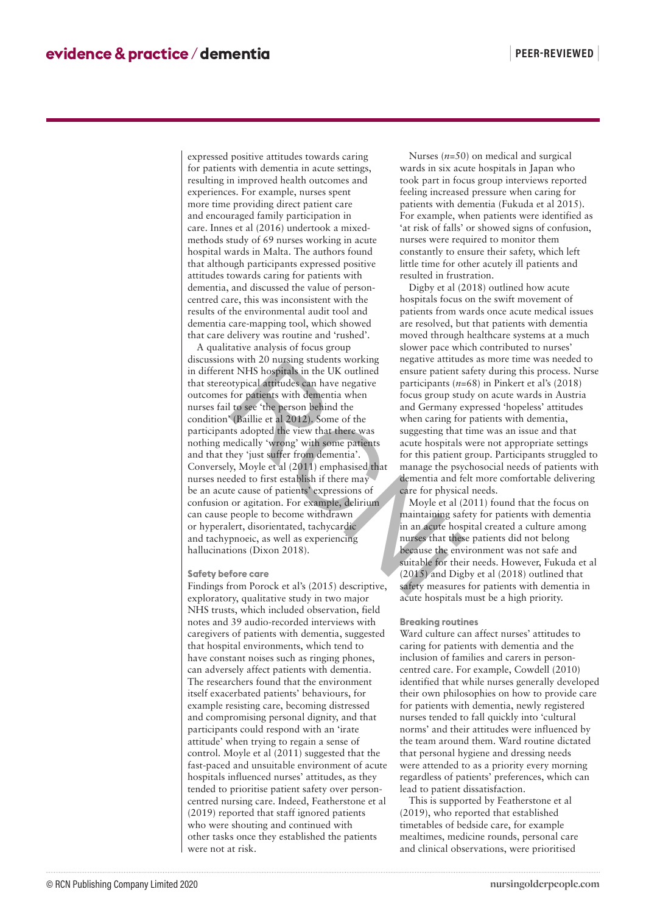expressed positive attitudes towards caring for patients with dementia in acute settings, resulting in improved health outcomes and experiences. For example, nurses spent more time providing direct patient care and encouraged family participation in care. Innes et al (2016) undertook a mixedmethods study of 69 nurses working in acute hospital wards in Malta. The authors found that although participants expressed positive attitudes towards caring for patients with dementia, and discussed the value of personcentred care, this was inconsistent with the results of the environmental audit tool and dementia care-mapping tool, which showed that care delivery was routine and 'rushed'.

A qualitative analysis of focus group discussions with 20 nursing students working in different NHS hospitals in the UK outlined that stereotypical attitudes can have negative outcomes for patients with dementia when nurses fail to see 'the person behind the condition' (Baillie et al 2012). Some of the participants adopted the view that there was nothing medically 'wrong' with some patients and that they 'just suffer from dementia'. Conversely, Moyle et al (2011) emphasised that nurses needed to first establish if there may be an acute cause of patients' expressions of confusion or agitation. For example, delirium can cause people to become withdrawn or hyperalert, disorientated, tachycardic and tachypnoeic, as well as experiencing hallucinations (Dixon 2018). distances with 20 mins states working<br>in different NHS hopitals in the UK outlined<br>that stereotypical attitudes can have negative ensure patients (*n*-<br>outcomes for patients with dementia when<br>outcomes for patients with de

### **Safety before care**

Findings from Porock et al's (2015) descriptive, exploratory, qualitative study in two major NHS trusts, which included observation, field notes and 39 audio-recorded interviews with caregivers of patients with dementia, suggested that hospital environments, which tend to have constant noises such as ringing phones, can adversely affect patients with dementia. The researchers found that the environment itself exacerbated patients' behaviours, for example resisting care, becoming distressed and compromising personal dignity, and that participants could respond with an 'irate attitude' when trying to regain a sense of control. Moyle et al (2011) suggested that the fast-paced and unsuitable environment of acute hospitals influenced nurses' attitudes, as they tended to prioritise patient safety over personcentred nursing care. Indeed, Featherstone et al (2019) reported that staff ignored patients who were shouting and continued with other tasks once they established the patients were not at risk.

Nurses (*n*=50) on medical and surgical wards in six acute hospitals in Japan who took part in focus group interviews reported feeling increased pressure when caring for patients with dementia (Fukuda et al 2015). For example, when patients were identified as 'at risk of falls' or showed signs of confusion, nurses were required to monitor them constantly to ensure their safety, which left little time for other acutely ill patients and resulted in frustration.

Digby et al (2018) outlined how acute hospitals focus on the swift movement of patients from wards once acute medical issues are resolved, but that patients with dementia moved through healthcare systems at a much slower pace which contributed to nurses' negative attitudes as more time was needed to ensure patient safety during this process. Nurse participants (*n=*68) in Pinkert et al's (2018) focus group study on acute wards in Austria and Germany expressed 'hopeless' attitudes when caring for patients with dementia, suggesting that time was an issue and that acute hospitals were not appropriate settings for this patient group. Participants struggled to manage the psychosocial needs of patients with dementia and felt more comfortable delivering care for physical needs.

Moyle et al (2011) found that the focus on maintaining safety for patients with dementia in an acute hospital created a culture among nurses that these patients did not belong because the environment was not safe and suitable for their needs. However, Fukuda et al (2015) and Digby et al (2018) outlined that safety measures for patients with dementia in acute hospitals must be a high priority.

#### **Breaking routines**

Ward culture can affect nurses' attitudes to caring for patients with dementia and the inclusion of families and carers in personcentred care. For example, Cowdell (2010) identified that while nurses generally developed their own philosophies on how to provide care for patients with dementia, newly registered nurses tended to fall quickly into 'cultural norms' and their attitudes were influenced by the team around them. Ward routine dictated that personal hygiene and dressing needs were attended to as a priority every morning regardless of patients' preferences, which can lead to patient dissatisfaction.

This is supported by Featherstone et al (2019), who reported that established timetables of bedside care, for example mealtimes, medicine rounds, personal care and clinical observations, were prioritised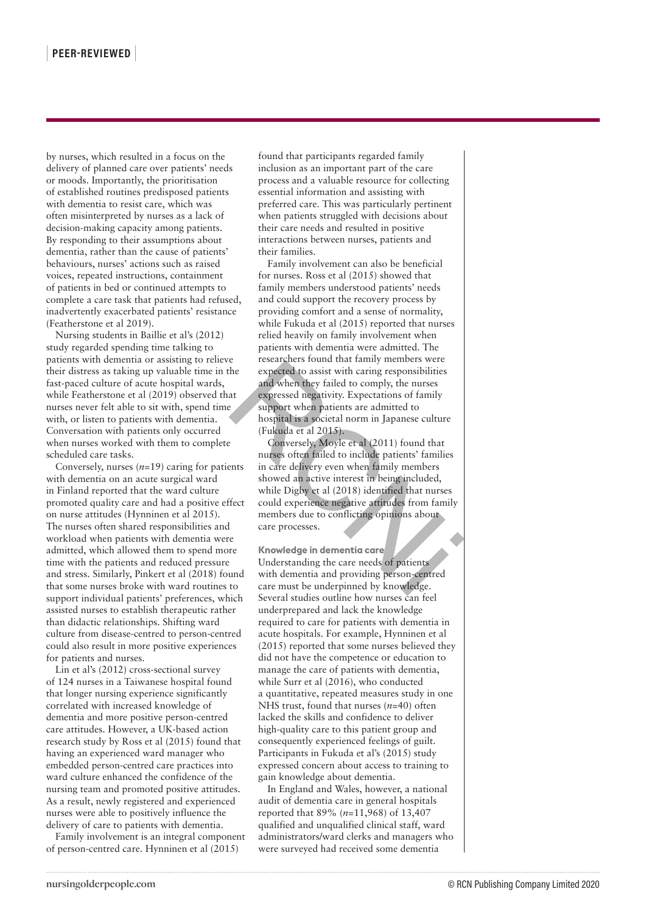by nurses, which resulted in a focus on the delivery of planned care over patients' needs or moods. Importantly, the prioritisation of established routines predisposed patients with dementia to resist care, which was often misinterpreted by nurses as a lack of decision-making capacity among patients. By responding to their assumptions about dementia, rather than the cause of patients' behaviours, nurses' actions such as raised voices, repeated instructions, containment of patients in bed or continued attempts to complete a care task that patients had refused, inadvertently exacerbated patients' resistance (Featherstone et al 2019).

Nursing students in Baillie et al's (2012) study regarded spending time talking to patients with dementia or assisting to relieve their distress as taking up valuable time in the fast-paced culture of acute hospital wards, while Featherstone et al (2019) observed that nurses never felt able to sit with, spend time with, or listen to patients with dementia. Conversation with patients only occurred when nurses worked with them to complete scheduled care tasks.

Conversely, nurses (*n=*19) caring for patients with dementia on an acute surgical ward in Finland reported that the ward culture promoted quality care and had a positive effect on nurse attitudes (Hynninen et al 2015). The nurses often shared responsibilities and workload when patients with dementia were admitted, which allowed them to spend more time with the patients and reduced pressure and stress. Similarly, Pinkert et al (2018) found that some nurses broke with ward routines to support individual patients' preferences, which assisted nurses to establish therapeutic rather than didactic relationships. Shifting ward culture from disease-centred to person-centred could also result in more positive experiences for patients and nurses.

Lin et al's (2012) cross-sectional survey of 124 nurses in a Taiwanese hospital found that longer nursing experience significantly correlated with increased knowledge of dementia and more positive person-centred care attitudes. However, a UK-based action research study by Ross et al (2015) found that having an experienced ward manager who embedded person-centred care practices into ward culture enhanced the confidence of the nursing team and promoted positive attitudes. As a result, newly registered and experienced nurses were able to positively influence the delivery of care to patients with dementia.

Family involvement is an integral component of person-centred care. Hynninen et al (2015)

found that participants regarded family inclusion as an important part of the care process and a valuable resource for collecting essential information and assisting with preferred care. This was particularly pertinent when patients struggled with decisions about their care needs and resulted in positive interactions between nurses, patients and their families.

Family involvement can also be beneficial for nurses. Ross et al (2015) showed that family members understood patients' needs and could support the recovery process by providing comfort and a sense of normality, while Fukuda et al (2015) reported that nurses relied heavily on family involvement when patients with dementia were admitted. The researchers found that family members were expected to assist with caring responsibilities and when they failed to comply, the nurses expressed negativity. Expectations of family support when patients are admitted to hospital is a societal norm in Japanese culture (Fukuda et al 2015).

Conversely, Moyle et al (2011) found that nurses often failed to include patients' families in care delivery even when family members showed an active interest in being included, while Digby et al (2018) identified that nurses could experience negative attitudes from family members due to conflicting opinions about care processes. ment to exercise to saist with cariny members were expected to assist with caring responsibilities<br>ital wards, and when they failed to comply, the nurses<br>observed that expressed negativity. Expectations of family<br>in, spend

**Knowledge in dementia care** Understanding the care needs of patients with dementia and providing person-centred care must be underpinned by knowledge. Several studies outline how nurses can feel underprepared and lack the knowledge required to care for patients with dementia in acute hospitals. For example, Hynninen et al (2015) reported that some nurses believed they did not have the competence or education to manage the care of patients with dementia, while Surr et al (2016), who conducted a quantitative, repeated measures study in one NHS trust, found that nurses (*n=*40) often lacked the skills and confidence to deliver high-quality care to this patient group and consequently experienced feelings of guilt. Participants in Fukuda et al's (2015) study expressed concern about access to training to gain knowledge about dementia.

In England and Wales, however, a national audit of dementia care in general hospitals reported that 89% (*n*=11,968) of 13,407 qualified and unqualified clinical staff, ward administrators/ward clerks and managers who were surveyed had received some dementia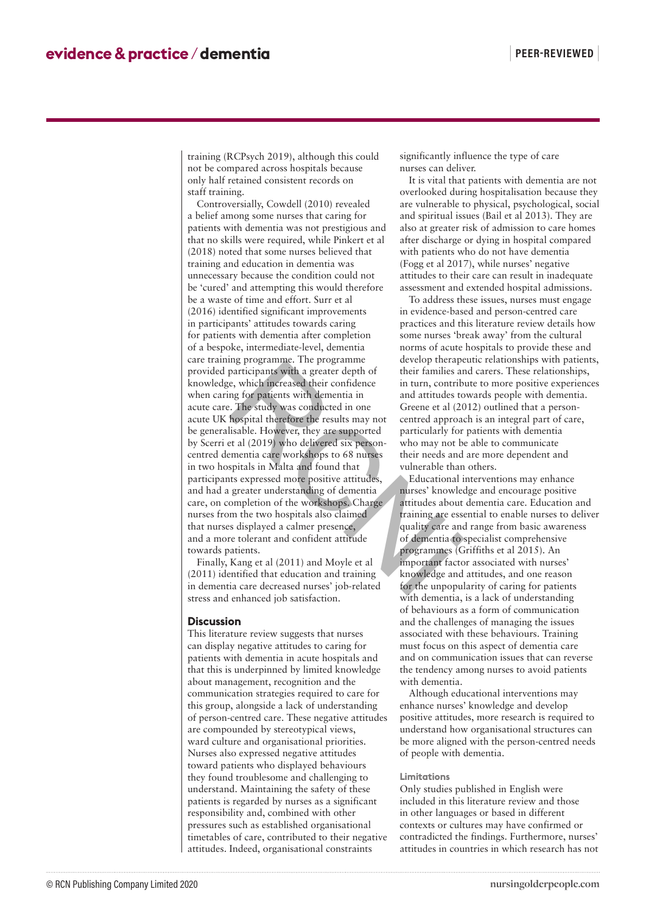training (RCPsych 2019), although this could not be compared across hospitals because only half retained consistent records on staff training.

Controversially, Cowdell (2010) revealed a belief among some nurses that caring for patients with dementia was not prestigious and that no skills were required, while Pinkert et al (2018) noted that some nurses believed that training and education in dementia was unnecessary because the condition could not be 'cured' and attempting this would therefore be a waste of time and effort. Surr et al (2016) identified significant improvements in participants' attitudes towards caring for patients with dementia after completion of a bespoke, intermediate-level, dementia care training programme. The programme provided participants with a greater depth of knowledge, which increased their confidence when caring for patients with dementia in acute care. The study was conducted in one acute UK hospital therefore the results may not be generalisable. However, they are supported by Scerri et al (2019) who delivered six personcentred dementia care workshops to 68 nurses in two hospitals in Malta and found that participants expressed more positive attitudes, and had a greater understanding of dementia care, on completion of the workshops. Charge nurses from the two hospitals also claimed that nurses displayed a calmer presence, and a more tolerant and confident attitude towards patients. Examing programmes. The programme<br>
and a greater depth of their families and their families and their families in turn, contributed<br>
showledge, which increased their confidence in turn, contributed in turn, contributed in

Finally, Kang et al (2011) and Moyle et al (2011) identified that education and training in dementia care decreased nurses' job-related stress and enhanced job satisfaction.

### **Discussion**

This literature review suggests that nurses can display negative attitudes to caring for patients with dementia in acute hospitals and that this is underpinned by limited knowledge about management, recognition and the communication strategies required to care for this group, alongside a lack of understanding of person-centred care. These negative attitudes are compounded by stereotypical views, ward culture and organisational priorities. Nurses also expressed negative attitudes toward patients who displayed behaviours they found troublesome and challenging to understand. Maintaining the safety of these patients is regarded by nurses as a significant responsibility and, combined with other pressures such as established organisational timetables of care, contributed to their negative attitudes. Indeed, organisational constraints

significantly influence the type of care nurses can deliver.

It is vital that patients with dementia are not overlooked during hospitalisation because they are vulnerable to physical, psychological, social and spiritual issues (Bail et al 2013). They are also at greater risk of admission to care homes after discharge or dying in hospital compared with patients who do not have dementia (Fogg et al 2017), while nurses' negative attitudes to their care can result in inadequate assessment and extended hospital admissions.

To address these issues, nurses must engage in evidence-based and person-centred care practices and this literature review details how some nurses 'break away' from the cultural norms of acute hospitals to provide these and develop therapeutic relationships with patients, their families and carers. These relationships, in turn, contribute to more positive experiences and attitudes towards people with dementia. Greene et al (2012) outlined that a personcentred approach is an integral part of care, particularly for patients with dementia who may not be able to communicate their needs and are more dependent and vulnerable than others.

Educational interventions may enhance nurses' knowledge and encourage positive attitudes about dementia care. Education and training are essential to enable nurses to deliver quality care and range from basic awareness of dementia to specialist comprehensive programmes (Griffiths et al 2015). An important factor associated with nurses' knowledge and attitudes, and one reason for the unpopularity of caring for patients with dementia, is a lack of understanding of behaviours as a form of communication and the challenges of managing the issues associated with these behaviours. Training must focus on this aspect of dementia care and on communication issues that can reverse the tendency among nurses to avoid patients with dementia.

Although educational interventions may enhance nurses' knowledge and develop positive attitudes, more research is required to understand how organisational structures can be more aligned with the person-centred needs of people with dementia.

#### **Limitations**

Only studies published in English were included in this literature review and those in other languages or based in different contexts or cultures may have confirmed or contradicted the findings. Furthermore, nurses' attitudes in countries in which research has not